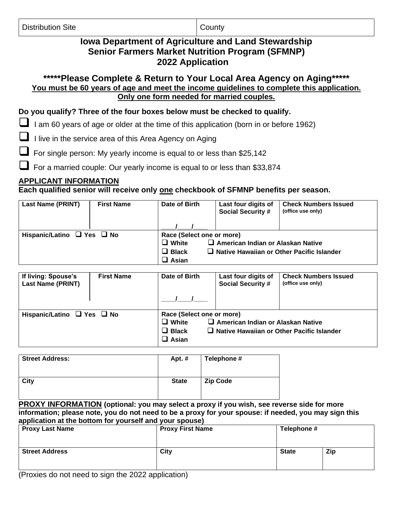|  | <b>Distribution Site</b> |  |
|--|--------------------------|--|
|--|--------------------------|--|

**County** 

# **Iowa Department of Agriculture and Land Stewardship Senior Farmers Market Nutrition Program (SFMNP) 2022 Application**

**\*\*\*\*\*Please Complete & Return to Your Local Area Agency on Aging\*\*\*\*\* You must be 60 years of age and meet the income guidelines to complete this application. Only one form needed for married couples.**

**Do you qualify? Three of the four boxes below must be checked to qualify.**

■ I am 60 years of age or older at the time of this application (born in or before 1962)

❑ I live in the service area of this Area Agency on Aging

For single person: My yearly income is equal to or less than \$25,142

For a married couple: Our yearly income is equal to or less than \$33,874

## **APPLICANT INFORMATION**

**Each qualified senior will receive only one checkbook of SFMNP benefits per season.**

| <b>Last Name (PRINT)</b>             | <b>First Name</b> | Date of Birth | Last four digits of<br><b>Social Security #</b>  | <b>Check Numbers Issued</b><br>(office use only) |  |
|--------------------------------------|-------------------|---------------|--------------------------------------------------|--------------------------------------------------|--|
|                                      |                   |               |                                                  |                                                  |  |
| Hispanic/Latino $\Box$ Yes $\Box$ No |                   |               | Race (Select one or more)                        |                                                  |  |
|                                      |                   | $\Box$ White  | $\Box$ American Indian or Alaskan Native         |                                                  |  |
|                                      |                   | $\Box$ Black  | $\Box$ Native Hawaiian or Other Pacific Islander |                                                  |  |
|                                      |                   | $\Box$ Asian  |                                                  |                                                  |  |

| If living: Spouse's<br><b>Last Name (PRINT)</b> | <b>First Name</b> | Date of Birth                                                             | Last four digits of<br><b>Social Security #</b>                                              | <b>Check Numbers Issued</b><br>(office use only) |
|-------------------------------------------------|-------------------|---------------------------------------------------------------------------|----------------------------------------------------------------------------------------------|--------------------------------------------------|
| Hispanic/Latino $\Box$ Yes $\Box$ No            |                   | Race (Select one or more)<br>$\Box$ White<br>$\Box$ Black<br>$\Box$ Asian | $\Box$ American Indian or Alaskan Native<br>$\Box$ Native Hawaiian or Other Pacific Islander |                                                  |

| <b>Street Address:</b> | Apt.#        | Telephone #     |
|------------------------|--------------|-----------------|
| City                   | <b>State</b> | <b>Zip Code</b> |

**PROXY INFORMATION (optional: you may select a proxy if you wish, see reverse side for more information; please note, you do not need to be a proxy for your spouse: if needed, you may sign this application at the bottom for yourself and your spouse)**

| ------------<br><b>Proxy Last Name</b> | <b>Proxy First Name</b> | Telephone #  |     |
|----------------------------------------|-------------------------|--------------|-----|
| <b>Street Address</b>                  | City                    | <b>State</b> | Zip |

(Proxies do not need to sign the 2022 application)